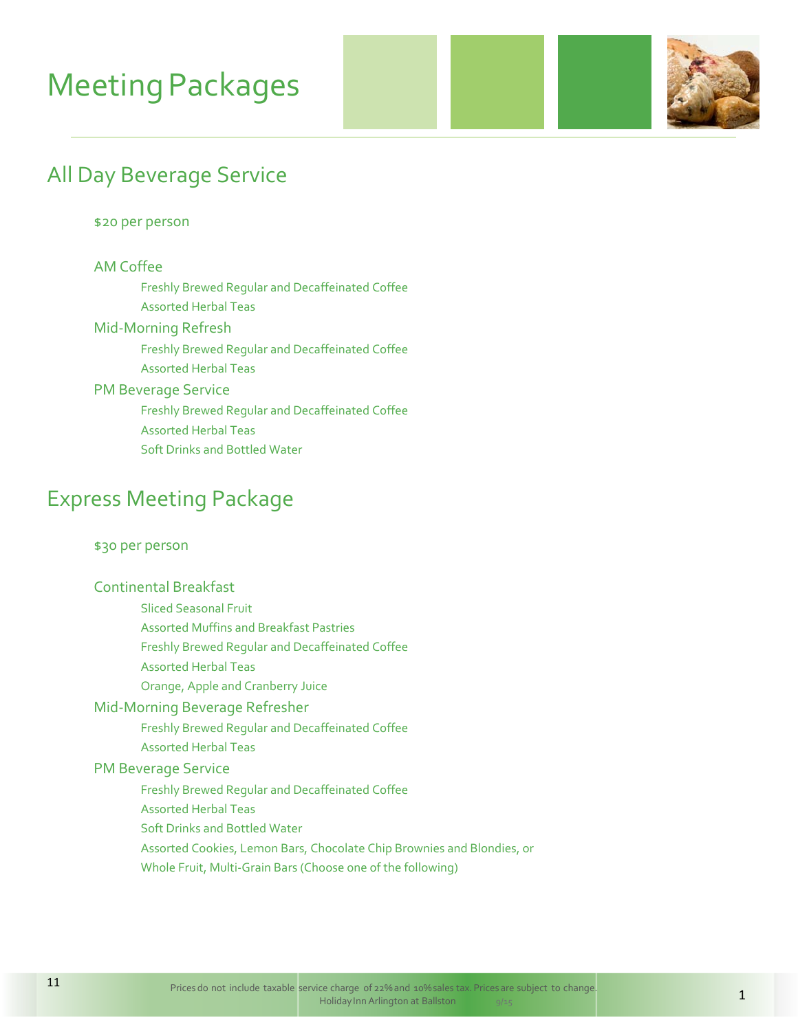# **Meeting Packages**



### All Day Beverage Service

#### \$20 per person

#### AM Coffee

 Freshly Brewed Regular and Decaffeinated Coffee Assorted Herbal Teas

### Mid‐Morning Refresh

 Freshly Brewed Regular and Decaffeinated Coffee Assorted Herbal Teas

#### PM Beverage Service

Freshly Brewed Regular and Decaffeinated Coffee

Assorted Herbal Teas

Soft Drinks and Bottled Water

### Express Meeting Package

#### \$30 per person

#### Continental Breakfast

Sliced Seasonal Fruit

Assorted Muffins and Breakfast Pastries

Freshly Brewed Regular and Decaffeinated Coffee

- Assorted Herbal Teas
- Orange, Apple and Cranberry Juice

#### Mid‐Morning Beverage Refresher

Freshly Brewed Regular and Decaffeinated Coffee

Assorted Herbal Teas

#### PM Beverage Service

Freshly Brewed Regular and Decaffeinated Coffee

- Assorted Herbal Teas
- Soft Drinks and Bottled Water
- Assorted Cookies, Lemon Bars, Chocolate Chip Brownies and Blondies, or
- Whole Fruit, Multi‐Grain Bars (Choose one of the following)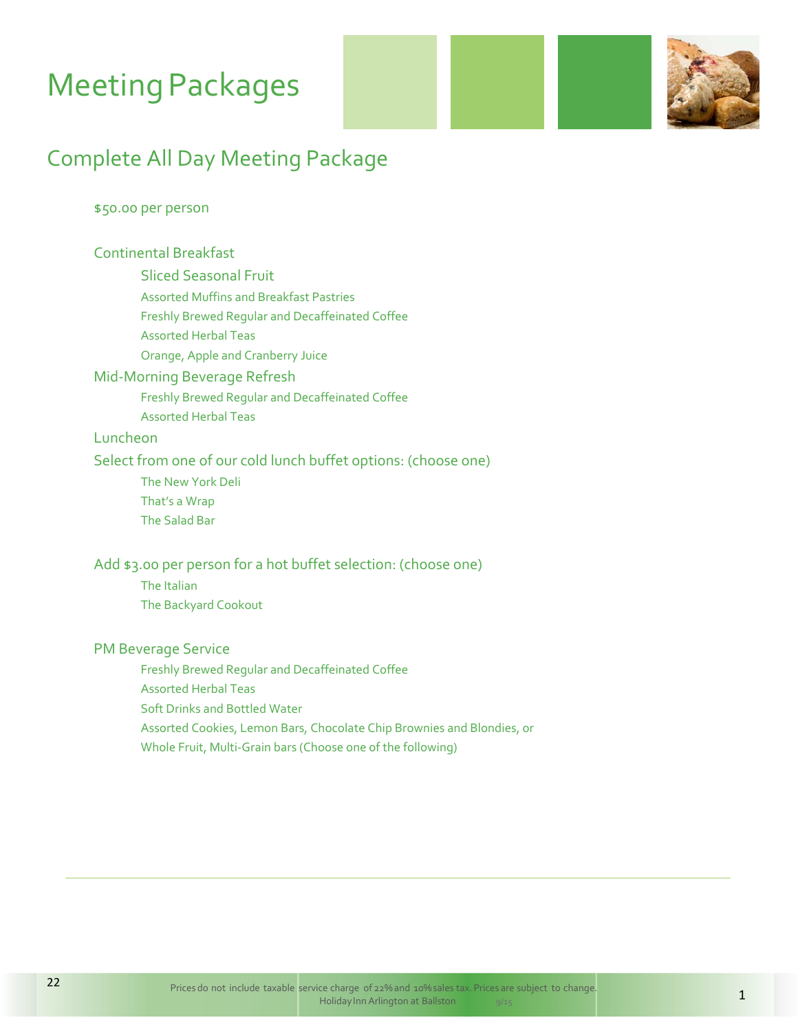# **Meeting Packages**



### Complete All Day Meeting Package

#### \$50.00 per person

#### Continental Breakfast

Sliced Seasonal Fruit

Assorted Muffins and Breakfast Pastries

Freshly Brewed Regular and Decaffeinated Coffee

Assorted Herbal Teas

Orange, Apple and Cranberry Juice

#### Mid‐Morning Beverage Refresh

Freshly Brewed Regular and Decaffeinated Coffee

Assorted Herbal Teas

#### Luncheon

#### Select from one of our cold lunch buffet options: (choose one)

The New York Deli

That's a Wrap

The Salad Bar

#### Add \$3.00 per person for a hot buffet selection: (choose one)

 The Italian The Backyard Cookout

#### PM Beverage Service

Freshly Brewed Regular and Decaffeinated Coffee

Assorted Herbal Teas

Soft Drinks and Bottled Water

Assorted Cookies, Lemon Bars, Chocolate Chip Brownies and Blondies, or

Whole Fruit, Multi‐Grain bars (Choose one of the following)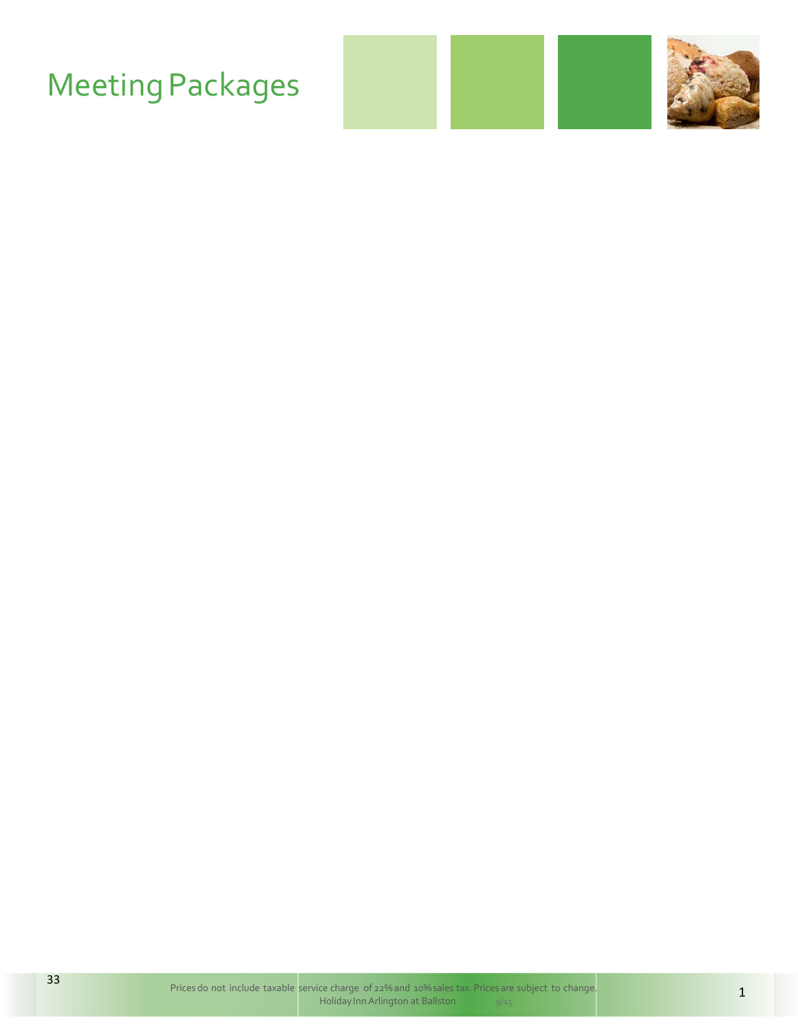# **Meeting Packages**

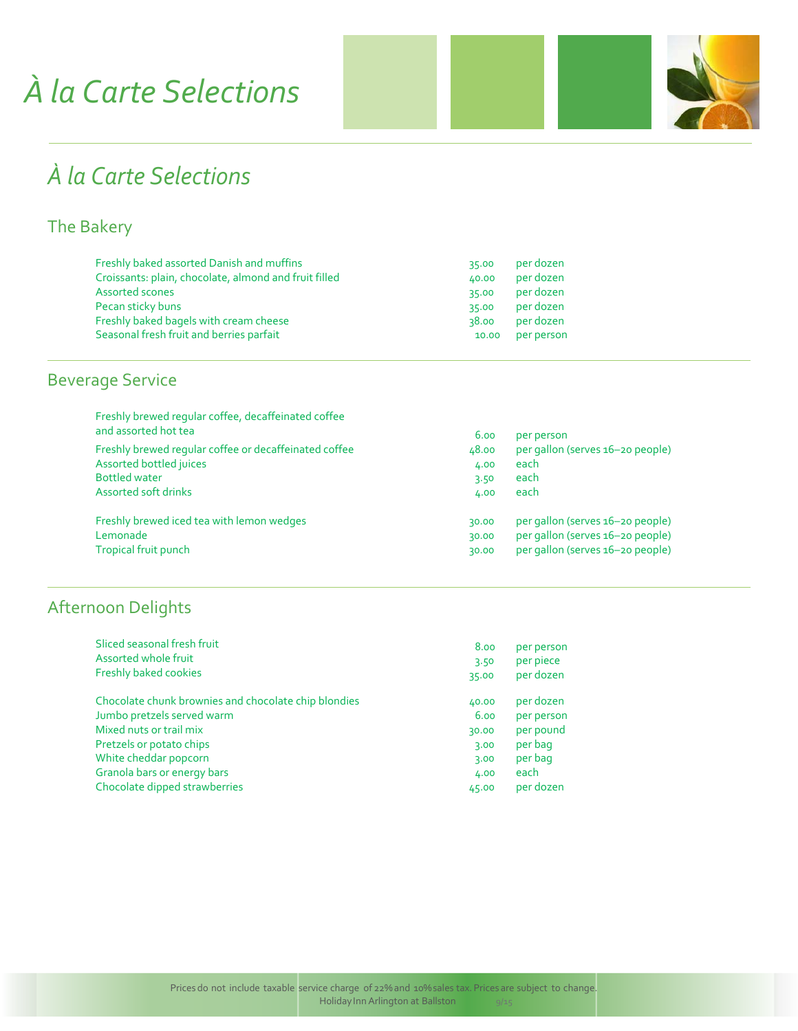# *À la Carte Selections*



## *À la Carte Selections*

### The Bakery

| 35.00 | per dozen  |
|-------|------------|
| 40.00 | per dozen  |
| 35.00 | per dozen  |
| 35.00 | per dozen  |
| 38.00 | per dozen  |
| 10.00 | per person |
|       |            |

### Beverage Service

| Freshly brewed reqular coffee, decaffeinated coffee<br>and assorted hot tea | 6.00  | per person                       |
|-----------------------------------------------------------------------------|-------|----------------------------------|
| Freshly brewed regular coffee or decaffeinated coffee                       | 48.00 | per gallon (serves 16-20 people) |
| Assorted bottled juices                                                     | 4.00  | each                             |
| <b>Bottled water</b>                                                        | 3.50  | each                             |
| Assorted soft drinks                                                        | 4.00  | each                             |
| Freshly brewed iced tea with lemon wedges                                   | 30.00 | per gallon (serves 16-20 people) |
| Lemonade                                                                    | 30.00 | per gallon (serves 16-20 people) |
| Tropical fruit punch                                                        | 30.00 | per gallon (serves 16-20 people) |

### Afternoon Delights

| Sliced seasonal fresh fruit                          | 8.00  | per person |
|------------------------------------------------------|-------|------------|
| Assorted whole fruit                                 | 3.50  | per piece  |
| Freshly baked cookies                                | 35.00 | per dozen  |
| Chocolate chunk brownies and chocolate chip blondies | 40.00 | per dozen  |
| Jumbo pretzels served warm                           | 6.00  | per person |
| Mixed nuts or trail mix                              | 30.00 | per pound  |
| Pretzels or potato chips                             | 3.00  | per bag    |
| White cheddar popcorn                                | 3.00  | per bag    |
| Granola bars or energy bars                          | 4.00  | each       |
| Chocolate dipped strawberries                        | 45.00 | per dozen  |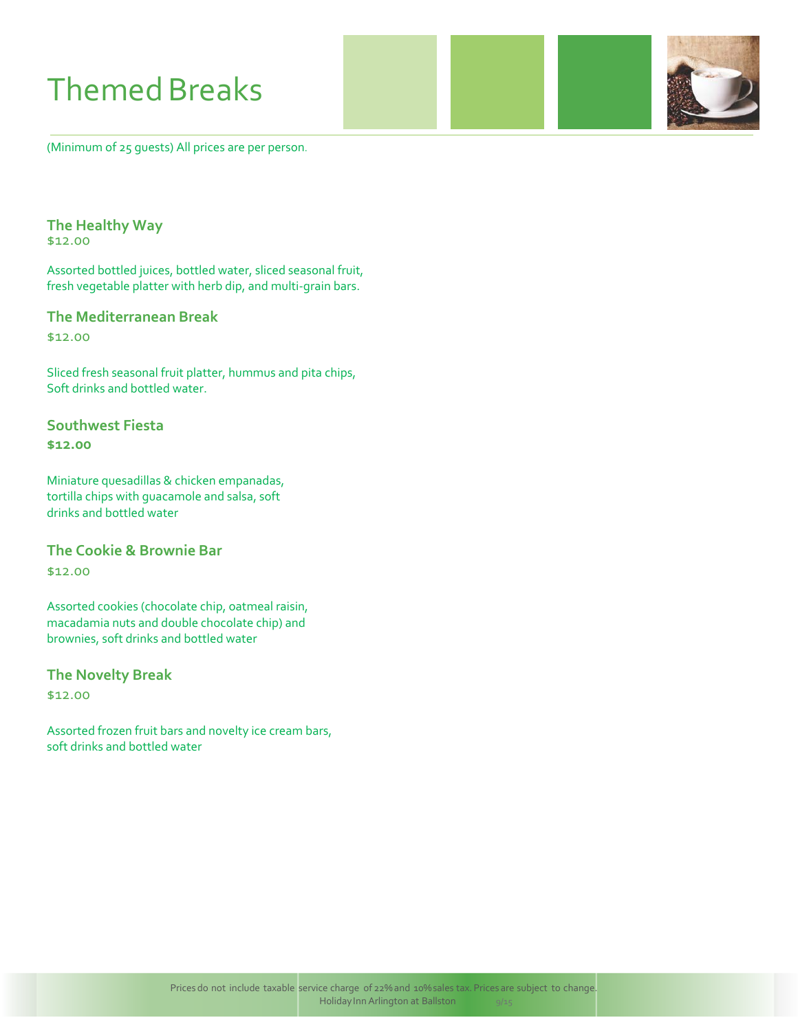# **Themed Breaks**

(Minimum of 25 guests) All prices are per person.

#### **The Healthy Way**

\$12.00

Assorted bottled juices, bottled water, sliced seasonal fruit, fresh vegetable platter with herb dip, and multi‐grain bars.

#### **The Mediterranean Break**

\$12.00

Sliced fresh seasonal fruit platter, hummus and pita chips, Soft drinks and bottled water.

#### **Southwest Fiesta \$12.00**

Miniature quesadillas & chicken empanadas, tortilla chips with guacamole and salsa, soft drinks and bottled water

#### **The Cookie & Brownie Bar**

\$12.00

Assorted cookies (chocolate chip, oatmeal raisin, macadamia nuts and double chocolate chip) and brownies, soft drinks and bottled water

**The Novelty Break**

\$12.00

Assorted frozen fruit bars and novelty ice cream bars, soft drinks and bottled water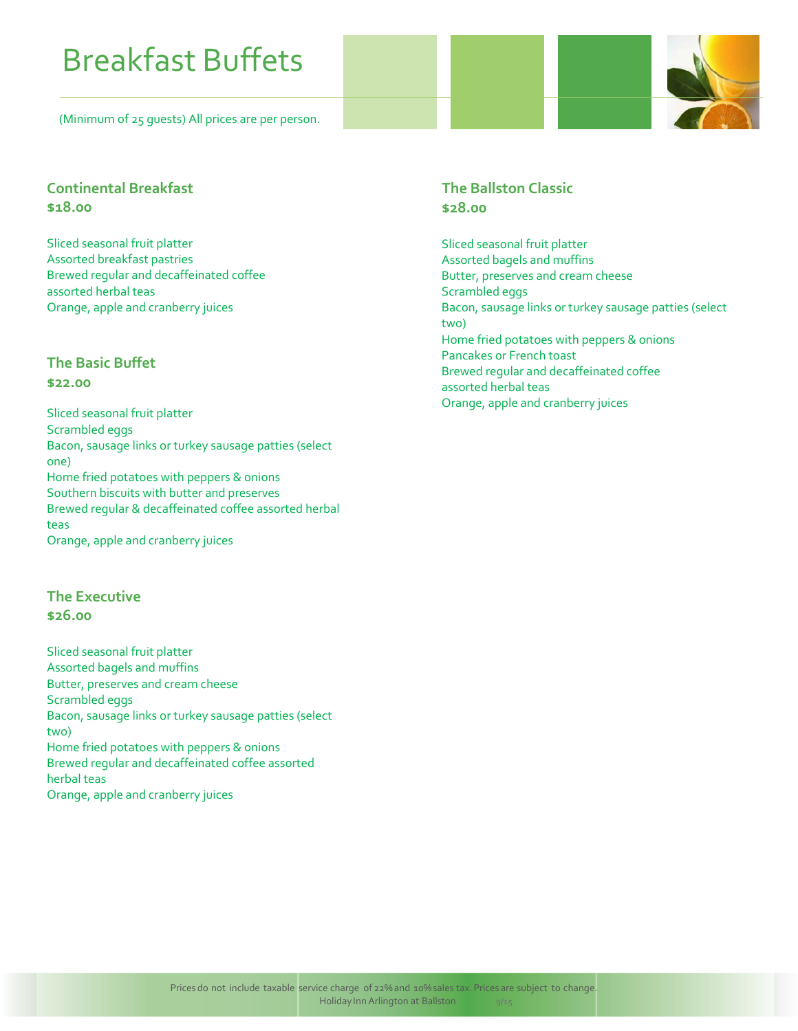# Breakfast Buffets

(Minimum of 25 guests) All prices are per person.



#### **Continental Breakfast \$18.00**

Sliced seasonal fruit platter Assorted breakfast pastries Brewed regular and decaffeinated coffee assorted herbal teas Orange, apple and cranberry juices

#### **The Basic Buffet \$22.00**

Sliced seasonal fruit platter Scrambled eggs Bacon, sausage links or turkey sausage patties (select one) Home fried potatoes with peppers & onions Southern biscuits with butter and preserves Brewed regular & decaffeinated coffee assorted herbal teas Orange, apple and cranberry juices

#### **The Executive \$26.00**

Sliced seasonal fruit platter Assorted bagels and muffins Butter, preserves and cream cheese Scrambled eggs Bacon, sausage links or turkey sausage patties (select two) Home fried potatoes with peppers & onions Brewed regular and decaffeinated coffee assorted herbal teas Orange, apple and cranberry juices

#### **The Ballston Classic \$28.00**

Sliced seasonal fruit platter Assorted bagels and muffins Butter, preserves and cream cheese Scrambled eggs Bacon, sausage links or turkey sausage patties (select two) Home fried potatoes with peppers & onions Pancakes or French toast Brewed regular and decaffeinated coffee assorted herbal teas Orange, apple and cranberry juices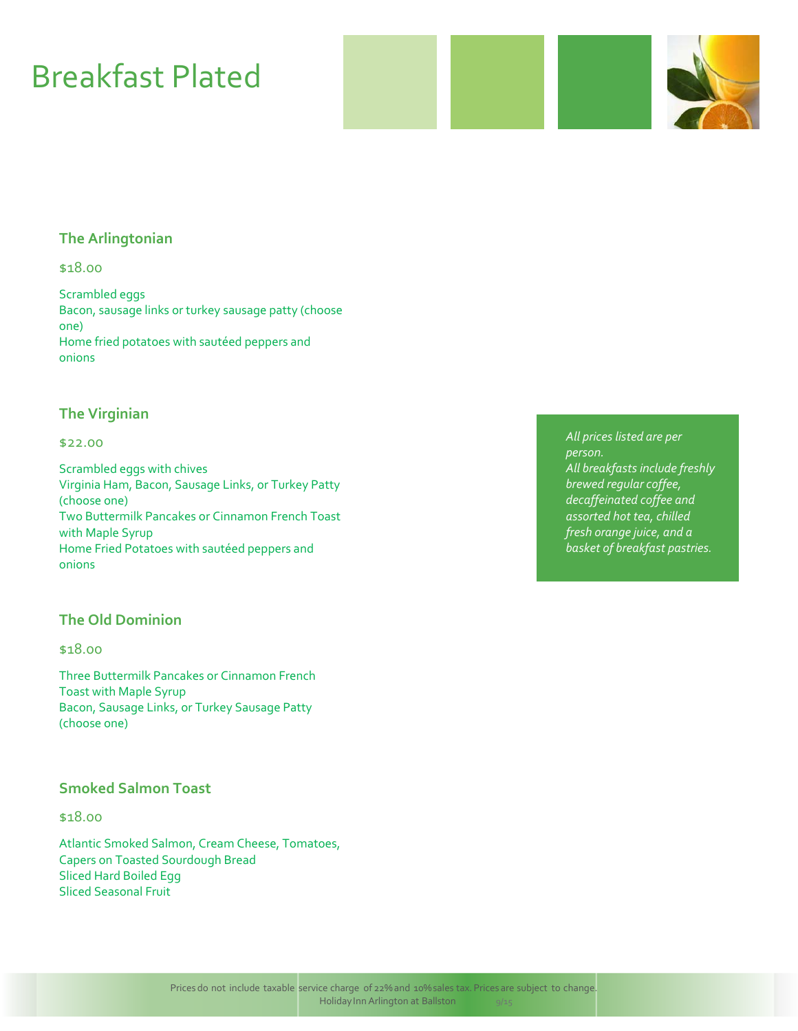# Breakfast Plated

#### **The Arlingtonian**

#### \$18.00

Scrambled eggs Bacon, sausage links or turkey sausage patty (choose one) Home fried potatoes with sautéed peppers and onions

#### **The Virginian**

#### \$22.00

Scrambled eggs with chives Virginia Ham, Bacon, Sausage Links, or Turkey Patty (choose one) Two Buttermilk Pancakes or Cinnamon French Toast with Maple Syrup Home Fried Potatoes with sautéed peppers and onions

#### **The Old Dominion**

#### \$18.00

Three Buttermilk Pancakes or Cinnamon French Toast with Maple Syrup Bacon, Sausage Links, or Turkey Sausage Patty (choose one)

#### **Smoked Salmon Toast**

#### \$18.00

Atlantic Smoked Salmon, Cream Cheese, Tomatoes, Capers on Toasted Sourdough Bread Sliced Hard Boiled Egg Sliced Seasonal Fruit

*All prices listed are per person. All breakfasts include freshly brewed regular coffee, decaffeinated coffee and assorted hot tea, chilled fresh orange juice, and a basket of breakfast pastries.*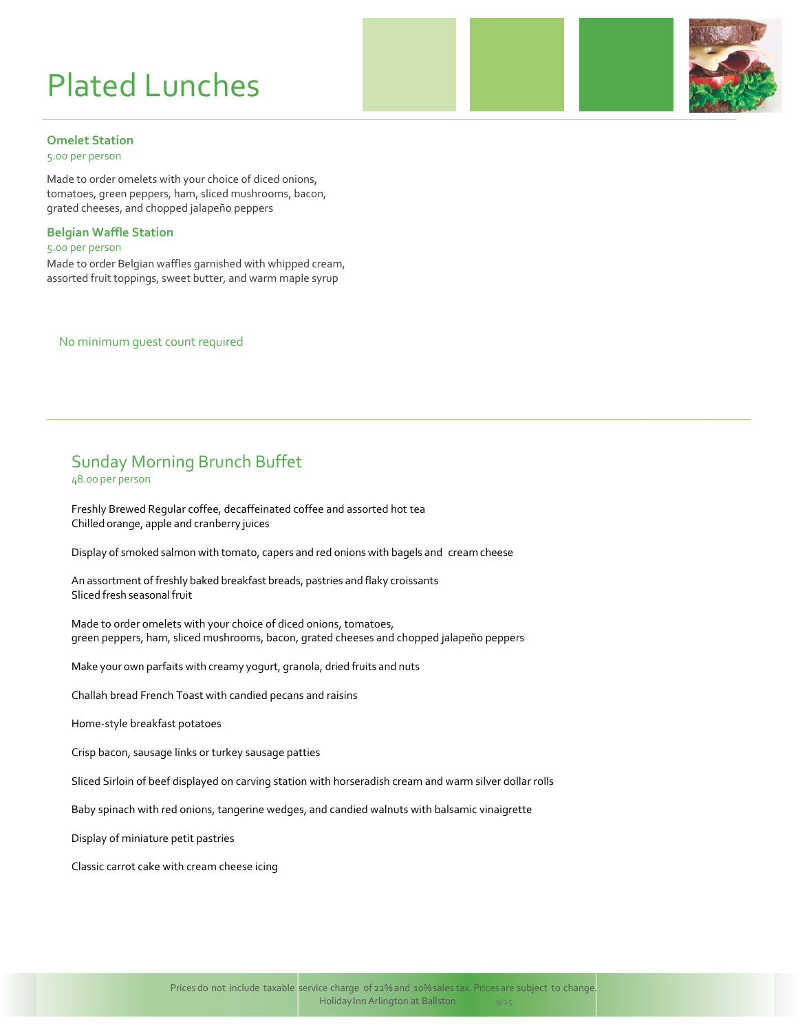# Plated Lunches



#### **Omelet Station**

5.00 per person

Made to order omelets with your choice of diced onions, tomatoes, green peppers, ham, sliced mushrooms, bacon, grated cheeses, and chopped jalapeño peppers

#### **Belgian Waffle Station**

5.00 per person

Made to order Belgian waffles garnished with whipped cream, assorted fruit toppings, sweet butter, and warm maple syrup

No minimum guest count required

### Sunday Morning Brunch Buffet

48.00 per person

Freshly Brewed Regular coffee, decaffeinated coffee and assorted hot tea Chilled orange, apple and cranberry juices

Display of smoked salmon with tomato, capers and red onions with bagels and cream cheese

An assortment of freshly baked breakfast breads, pastries and flaky croissants Sliced fresh seasonal fruit

Made to order omelets with your choice of diced onions, tomatoes, green peppers, ham, sliced mushrooms, bacon, grated cheeses and chopped jalapeño peppers

Make your own parfaits with creamy yogurt, granola, dried fruits and nuts

Challah bread French Toast with candied pecans and raisins

Home‐style breakfast potatoes

Crisp bacon, sausage links or turkey sausage patties

Sliced Sirloin of beef displayed on carving station with horseradish cream and warm silver dollar rolls

Baby spinach with red onions, tangerine wedges, and candied walnuts with balsamic vinaigrette

Display of miniature petit pastries

Classic carrot cake with cream cheese icing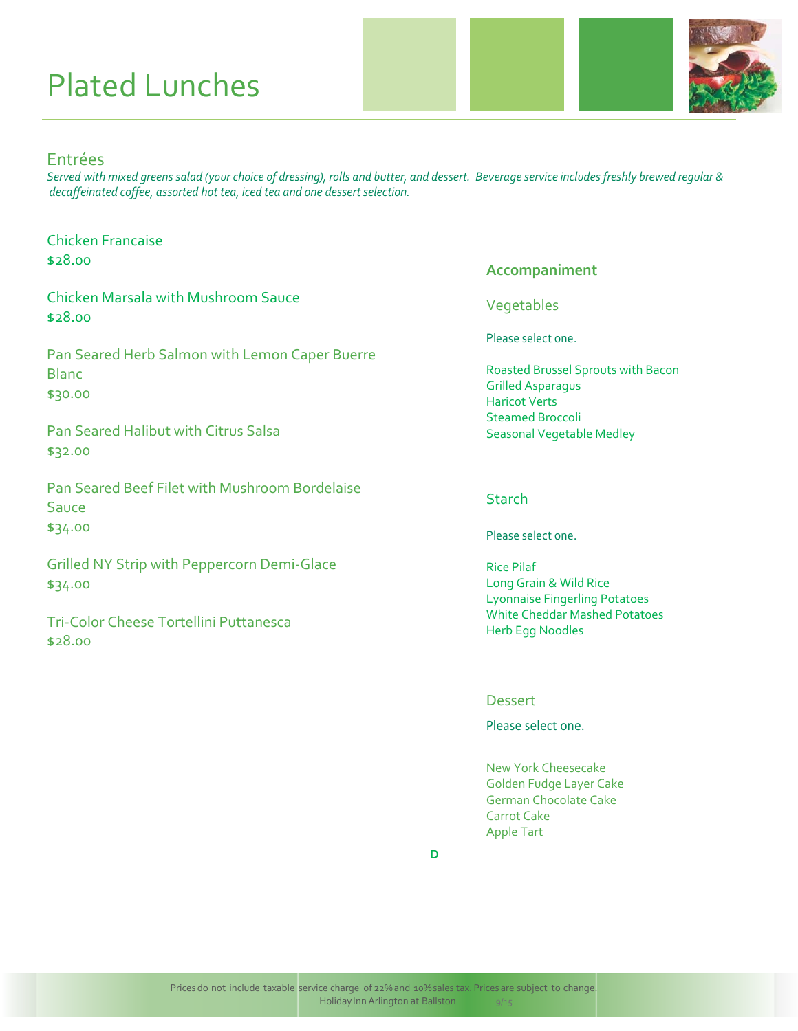# Plated Lunches



#### Entrées

\$28.00

Served with mixed greens salad (your choice of dressing), rolls and butter, and dessert. Beverage service includes freshly brewed regular & *decaffeinated coffee, assorted hot tea, iced tea and one dessert selection.*

| <b>Chicken Francaise</b><br>\$28.00                                       |
|---------------------------------------------------------------------------|
| <b>Chicken Marsala with Mushroom Sauce</b><br>\$28.00                     |
| Pan Seared Herb Salmon with Lemon Caper Buerre<br><b>Blanc</b><br>\$30.00 |
| <b>Pan Seared Halibut with Citrus Salsa</b><br>\$32.00                    |
| Pan Seared Beef Filet with Mushroom Bordelaise<br>Sauce<br>\$34.00        |
| <b>Grilled NY Strip with Peppercorn Demi-Glace</b><br>\$34.00             |
| Tri-Color Cheese Tortellini Puttanesca                                    |

#### **Accompaniment**

Vegetables

Please select one.

Roasted Brussel Sprouts with Bacon Grilled Asparagus Haricot Verts Steamed Broccoli Seasonal Vegetable Medley

#### **Starch**

Please select one.

Rice Pilaf Long Grain & Wild Rice Lyonnaise Fingerling Potatoes White Cheddar Mashed Potatoes Herb Egg Noodles

#### **Dessert**

Please select one.

New York Cheesecake Golden Fudge Layer Cake German Chocolate Cake Carrot Cake Apple Tart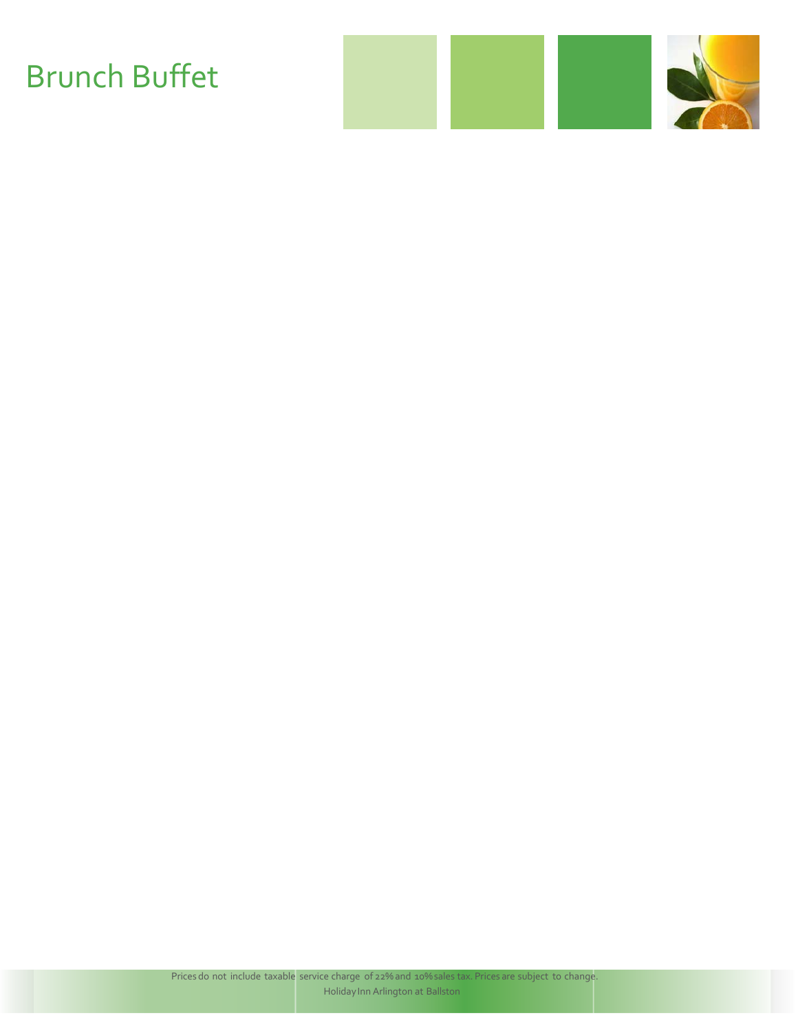# Brunch Buffet

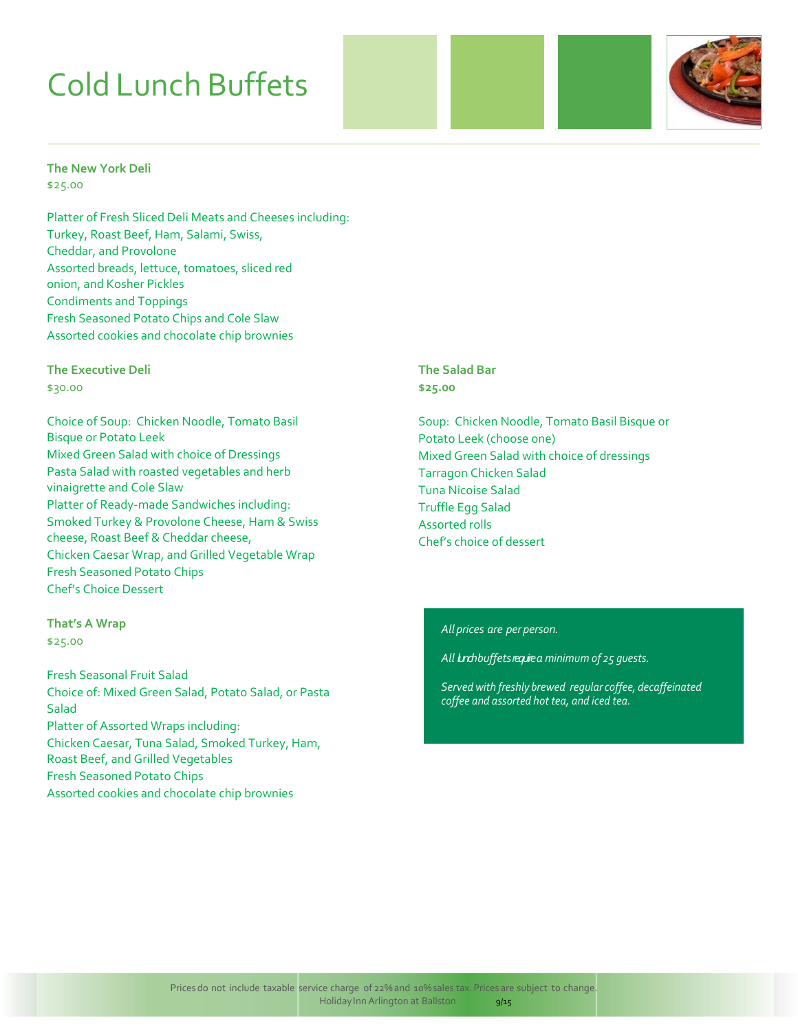# Cold Lunch Buffets



#### **The New York Deli** \$25.00

Platter of Fresh Sliced Deli Meats and Cheeses including: Turkey, Roast Beef, Ham, Salami, Swiss, Cheddar, and Provolone Assorted breads, lettuce, tomatoes, sliced red onion, and Kosher Pickles Condiments and Toppings Fresh Seasoned Potato Chips and Cole Slaw Assorted cookies and chocolate chip brownies

#### **The Executive Deli**

\$30.00

Choice of Soup: Chicken Noodle, Tomato Basil Bisque or Potato Leek Mixed Green Salad with choice of Dressings Pasta Salad with roasted vegetables and herb vinaigrette and Cole Slaw Platter of Ready‐made Sandwiches including: Smoked Turkey & Provolone Cheese, Ham & Swiss cheese, Roast Beef & Cheddar cheese, Chicken Caesar Wrap, and Grilled Vegetable Wrap Fresh Seasoned Potato Chips Chef's Choice Dessert

#### **That's A Wrap**

\$25.00

Fresh Seasonal Fruit Salad Choice of: Mixed Green Salad, Potato Salad, or Pasta **Salad** Platter of Assorted Wraps including: Chicken Caesar, Tuna Salad, Smoked Turkey, Ham, Roast Beef, and Grilled Vegetables Fresh Seasoned Potato Chips Assorted cookies and chocolate chip brownies

**The Salad Bar \$25.00**

Soup: Chicken Noodle, Tomato Basil Bisque or Potato Leek (choose one) Mixed Green Salad with choice of dressings Tarragon Chicken Salad Tuna Nicoise Salad Truffle Egg Salad Assorted rolls Chef's choice of dessert

#### *All prices are per person.*

*All lunch buffetsrequirea minimum of 25 guests.*

*Served with freshly brewed regular coffee, decaffeinated coffee and assorted hot tea, and iced tea.*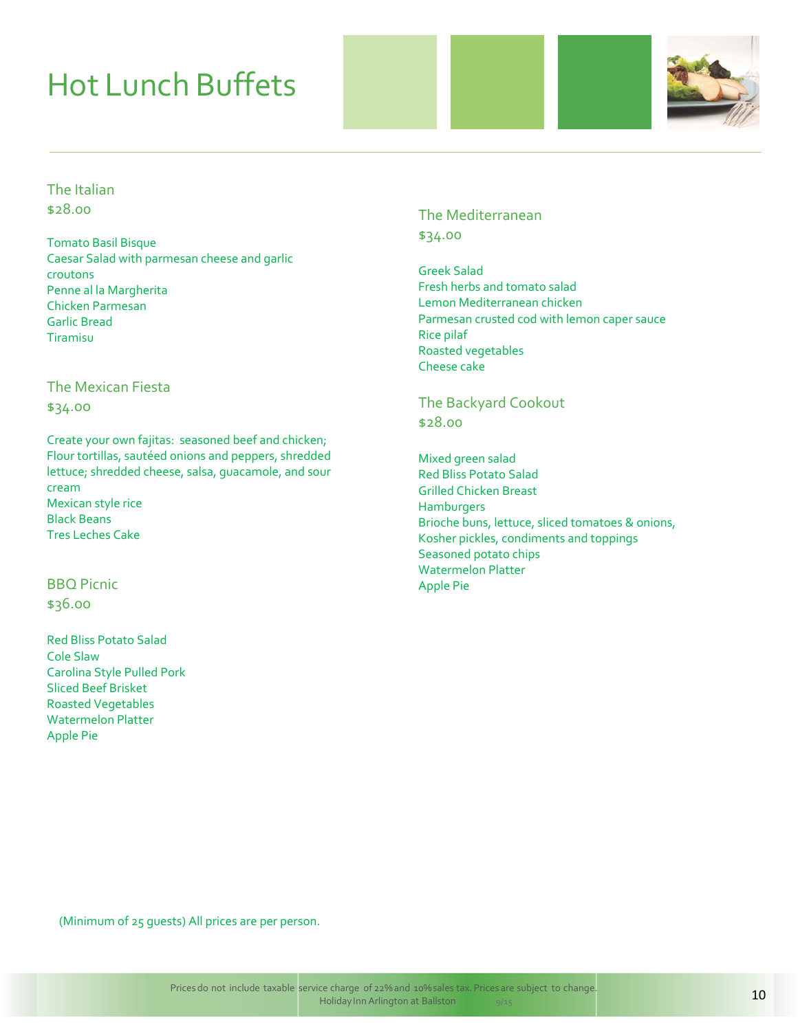# Hot Lunch Buffets



The Italian \$28.00

Tomato Basil Bisque Caesar Salad with parmesan cheese and garlic croutons Penne al la Margherita Chicken Parmesan Garlic Bread Tiramisu

#### The Mexican Fiesta

\$34.oo

Create your own fajitas: seasoned beef and chicken; Flour tortillas, sautéed onions and peppers, shredded lettuce; shredded cheese, salsa, guacamole, and sour cream Mexican style rice Black Beans Tres Leches Cake

#### BBQ Picnic \$36.oo

Red Bliss Potato Salad Cole Slaw Carolina Style Pulled Pork Sliced Beef Brisket Roasted Vegetables Watermelon Platter Apple Pie

The Mediterranean \$34.00

Greek Salad Fresh herbs and tomato salad Lemon Mediterranean chicken Parmesan crusted cod with lemon caper sauce Rice pilaf Roasted vegetables Cheese cake

The Backyard Cookout \$28.00

Mixed green salad Red Bliss Potato Salad Grilled Chicken Breast **Hamburgers** Brioche buns, lettuce, sliced tomatoes & onions, Kosher pickles, condiments and toppings Seasoned potato chips Watermelon Platter Apple Pie

(Minimum of 25 guests) All prices are per person.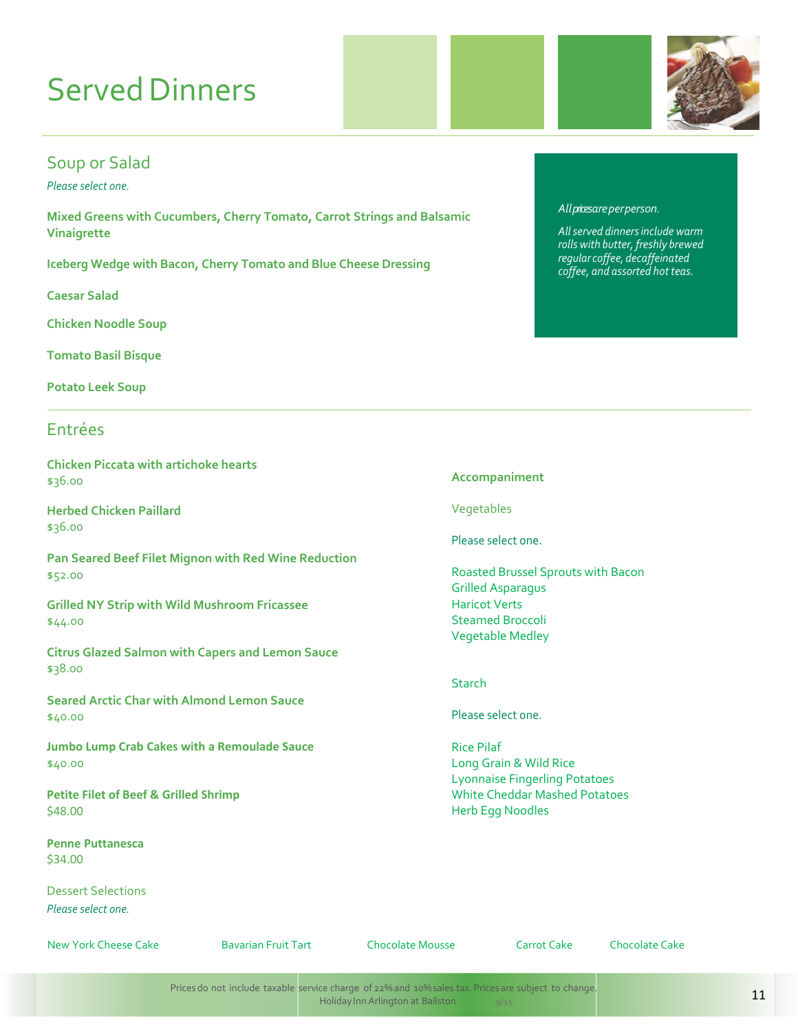# **Served Dinners**

### Soup or Salad

*Please select one.*

**Mixed Greens with Cucumbers, Cherry Tomato, Carrot Strings and Balsamic Vinaigrette**

**Iceberg Wedge with Bacon, Cherry Tomato and Blue Cheese Dressing**

**Caesar Salad**

**Chicken Noodle Soup**

**Tomato Basil Bisque** 

**Potato Leek Soup**

#### Entrées

**Chicken Piccata with artichoke hearts** \$36.00

**Herbed Chicken Paillard** \$36.00

**Pan Seared Beef Filet Mignon with Red Wine Reduction** \$52.00

**Grilled NY Strip with Wild Mushroom Fricassee** \$44.00

**Citrus Glazed Salmon with Capers and Lemon Sauce** \$38.00

**Seared Arctic Char with Almond Lemon Sauce** \$40.00

**Jumbo Lump Crab Cakes with a Remoulade Sauce** \$40.00

**Petite Filet of Beef & Grilled Shrimp** \$48.00

**Penne Puttanesca** \$34.00

Dessert Selections *Please select one.*

New York Cheese Cake Bavarian Fruit Tart Chocolate Mousse Carrot Cake Chocolate Cake

#### *Allpricesareperperson.*

*Allserved dinnersinclude warm rolls with butter, freshly brewed regular coffee, decaffeinated coffee, and assorted hot teas.*

**Accompaniment**

Vegetables

Please select one.

Roasted Brussel Sprouts with Bacon Grilled Asparagus Haricot Verts Steamed Broccoli Vegetable Medley

#### **Starch**

Please select one.

Rice Pilaf Long Grain & Wild Rice Lyonnaise Fingerling Potatoes White Cheddar Mashed Potatoes Herb Egg Noodles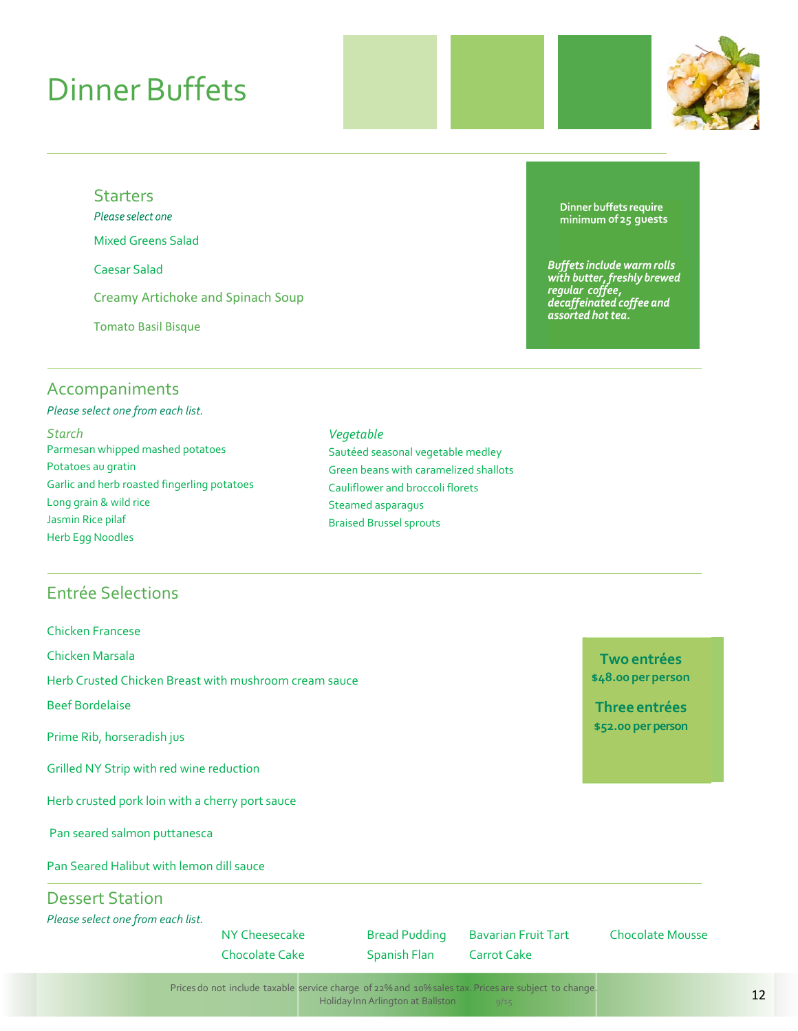# Dinner Buffets



#### **Starters**

Please select one

Mixed Greens Salad

Caesar Salad

Creamy Artichoke and Spinach Soup

Tomato Basil Bisque

### Accompaniments

*Please select one from each list. Starch* Parmesan whipped mashed potatoes Potatoes au gratin Garlic and herb roasted fingerling potatoes Long grain & wild rice Jasmin Rice pilaf Herb Egg Noodles

#### *Vegetable* Sautéed seasonal vegetable medley Green beans with caramelized shallots Cauliflower and broccoli florets Steamed asparagus Braised Brussel sprouts

### Entrée Selections

| <b>Chicken Francese</b>                               |                       |                      |                            |                         |
|-------------------------------------------------------|-----------------------|----------------------|----------------------------|-------------------------|
| Chicken Marsala                                       |                       |                      |                            | Two entrées             |
| Herb Crusted Chicken Breast with mushroom cream sauce | \$48.00 per person    |                      |                            |                         |
| <b>Beef Bordelaise</b>                                |                       |                      |                            | Three entrées           |
| Prime Rib, horseradish jus                            |                       |                      |                            | \$52.00 per person      |
| Grilled NY Strip with red wine reduction              |                       |                      |                            |                         |
| Herb crusted pork loin with a cherry port sauce       |                       |                      |                            |                         |
| Pan seared salmon puttanesca                          |                       |                      |                            |                         |
| Pan Seared Halibut with lemon dill sauce              |                       |                      |                            |                         |
| <b>Dessert Station</b>                                |                       |                      |                            |                         |
| Please select one from each list.                     |                       |                      |                            |                         |
|                                                       | NY Cheesecake         | <b>Bread Pudding</b> | <b>Bavarian Fruit Tart</b> | <b>Chocolate Mousse</b> |
|                                                       | <b>Chocolate Cake</b> | Spanish Flan         | Carrot Cake                |                         |

Dinner buffets require **of25 guests**

Buffets include warm rolls<br>with butter, freshly brewed<br>regular coffee,<br>decaffeinated coffee and<br>assorted hot tea.

Prices do not include taxable service charge of 22% and 10%sales tax. Prices are subject to change. Holiday Inn Arlington at Ballston 9/15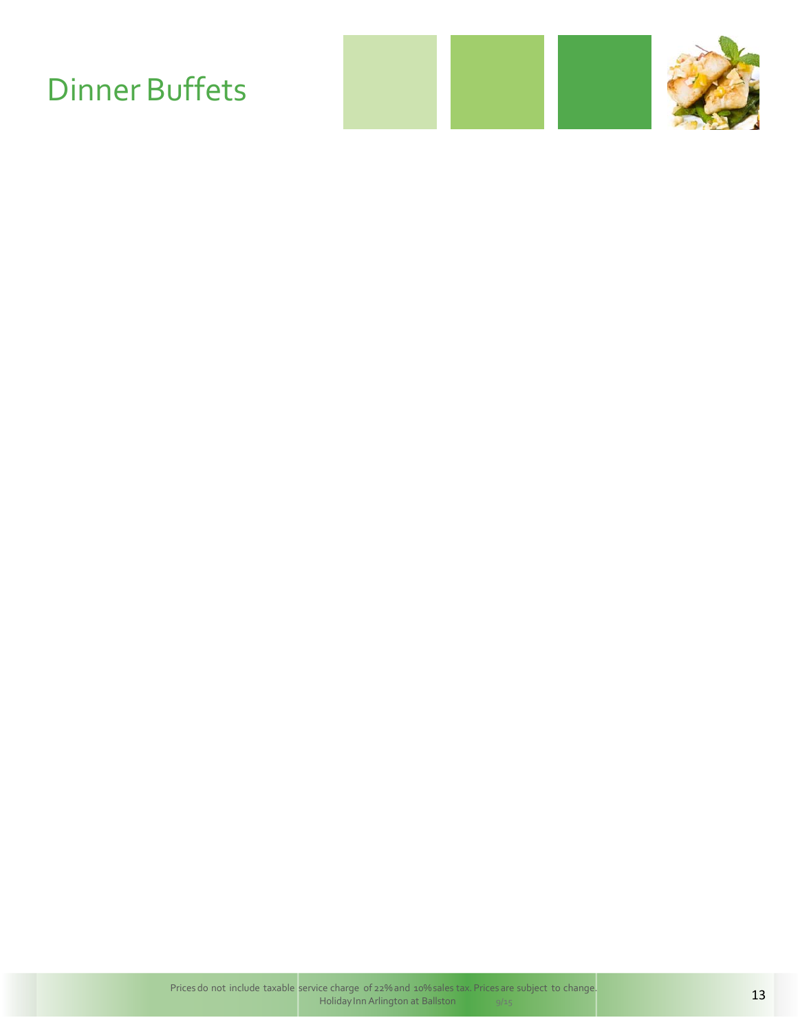# Dinner Buffets

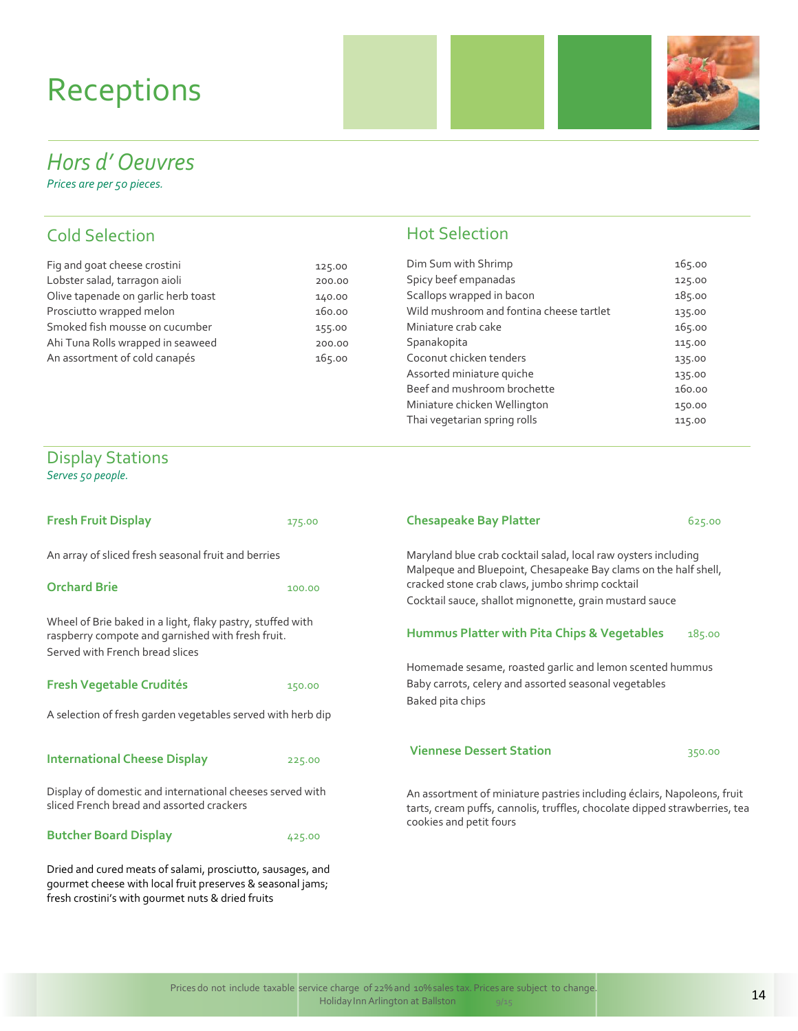# Receptions



## *Hors d' Oeuvres*

*Prices are per 50 pieces.*

### Cold Selection

| Fig and goat cheese crostini        | 125.00 | Dim Sum with Shrimp                      | 165.00   |
|-------------------------------------|--------|------------------------------------------|----------|
| Lobster salad, tarragon aioli       | 200.00 | Spicy beef empanadas                     | 125.00   |
| Olive tapenade on garlic herb toast | 140.00 | Scallops wrapped in bacon                | 185.00   |
| Prosciutto wrapped melon            | 160.00 | Wild mushroom and fontina cheese tartlet | 135.00   |
| Smoked fish mousse on cucumber      | 155.00 | Miniature crab cake                      | 165.00   |
| Ahi Tuna Rolls wrapped in seaweed   | 200.00 | Spanakopita                              | 115.00   |
| An assortment of cold canapés       | 165.00 | Coconut chicken tenders                  | 135.00   |
|                                     |        | Accorded ministure quiche                | $\cdots$ |

gourmet cheese with local fruit preserves & seasonal jams;

fresh crostini's with gourmet nuts & dried fruits

### Hot Selection

| oat cheese crostini        | 125.00 | Dim Sum with Shrimp                      | 165.00 |
|----------------------------|--------|------------------------------------------|--------|
| alad, tarragon aioli       | 200.00 | Spicy beef empanadas                     | 125.00 |
| enade on garlic herb toast | 140.00 | Scallops wrapped in bacon                | 185.00 |
| o wrapped melon            | 160.00 | Wild mushroom and fontina cheese tartlet | 135.00 |
| fish mousse on cucumber    | 155.00 | Miniature crab cake                      | 165.00 |
| Rolls wrapped in seaweed   | 200.00 | Spanakopita                              | 115.00 |
| ment of cold canapés       | 165.00 | Coconut chicken tenders                  | 135.00 |
|                            |        | Assorted miniature quiche                | 135.00 |
|                            |        | Beef and mushroom brochette              | 160.00 |
|                            |        | Miniature chicken Wellington             | 150.00 |
|                            |        | Thai vegetarian spring rolls             | 115.00 |
|                            |        |                                          |        |

#### Display Stations *Serves 50 people.*

| <b>Fresh Fruit Display</b>                                                                                                                         | 175.00 | <b>Chesapeake Bay Platter</b>                                                                                                                         | 625.00 |
|----------------------------------------------------------------------------------------------------------------------------------------------------|--------|-------------------------------------------------------------------------------------------------------------------------------------------------------|--------|
| An array of sliced fresh seasonal fruit and berries                                                                                                |        | Maryland blue crab cocktail salad, local raw oysters including<br>Malpeque and Bluepoint, Chesapeake Bay clams on the half shell,                     |        |
| <b>Orchard Brie</b>                                                                                                                                | 100.00 | cracked stone crab claws, jumbo shrimp cocktail<br>Cocktail sauce, shallot mignonette, grain mustard sauce                                            |        |
| Wheel of Brie baked in a light, flaky pastry, stuffed with<br>raspberry compote and garnished with fresh fruit.<br>Served with French bread slices |        | Hummus Platter with Pita Chips & Vegetables                                                                                                           | 185.00 |
|                                                                                                                                                    |        | Homemade sesame, roasted garlic and lemon scented hummus                                                                                              |        |
| <b>Fresh Vegetable Crudités</b>                                                                                                                    | 150.00 | Baby carrots, celery and assorted seasonal vegetables<br>Baked pita chips                                                                             |        |
| A selection of fresh garden vegetables served with herb dip                                                                                        |        |                                                                                                                                                       |        |
| <b>International Cheese Display</b>                                                                                                                | 225.00 | <b>Viennese Dessert Station</b>                                                                                                                       | 350.00 |
| Display of domestic and international cheeses served with<br>sliced French bread and assorted crackers                                             |        | An assortment of miniature pastries including éclairs, Napoleons, fruit<br>tarts, cream puffs, cannolis, truffles, chocolate dipped strawberries, tea |        |
| <b>Butcher Board Display</b>                                                                                                                       | 425.00 | cookies and petit fours                                                                                                                               |        |
| Dried and cured meats of salami, prosciutto, sausages, and                                                                                         |        |                                                                                                                                                       |        |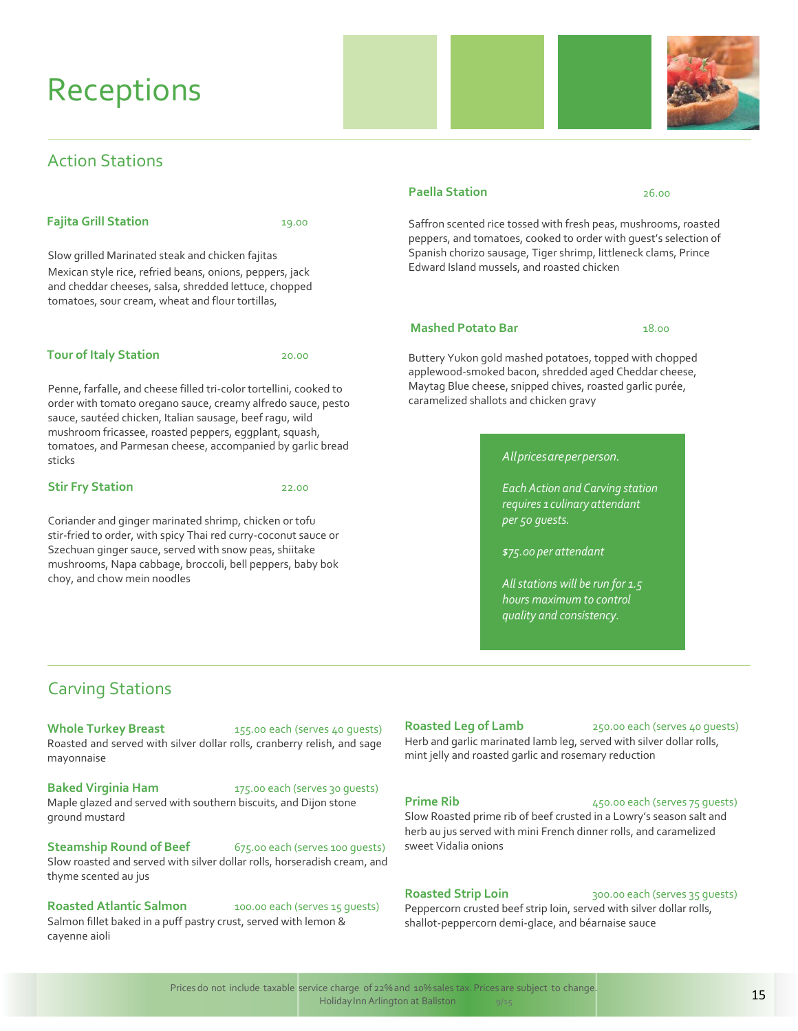## **Receptions**

### Action Stations

#### **Fajita Grill Station** 19.00

Slow grilled Marinated steak and chicken fajitas Mexican style rice, refried beans, onions, peppers, jack and cheddar cheeses, salsa, shredded lettuce, chopped tomatoes, sour cream, wheat and flour tortillas,

#### **Tour of Italy Station** 20.00

Penne, farfalle, and cheese filled tri‐color tortellini, cooked to order with tomato oregano sauce, creamy alfredo sauce, pesto sauce, sautéed chicken, Italian sausage, beef ragu, wild mushroom fricassee, roasted peppers, eggplant, squash, tomatoes, and Parmesan cheese, accompanied by garlic bread sticks

#### **Stir Fry Station** 22.00

Coriander and ginger marinated shrimp, chicken or tofu stir‐fried to order, with spicy Thai red curry‐coconut sauce or Szechuan ginger sauce, served with snow peas, shiitake mushrooms, Napa cabbage, broccoli, bell peppers, baby bok choy, and chow mein noodles

#### **Paella Station** 26.00

Saffron scented rice tossed with fresh peas, mushrooms, roasted peppers, and tomatoes, cooked to order with guest's selection of Spanish chorizo sausage, Tiger shrimp, littleneck clams, Prince Edward Island mussels, and roasted chicken

#### **Mashed Potato Bar** 18.00

Buttery Yukon gold mashed potatoes, topped with chopped applewood-smoked bacon, shredded aged Cheddar cheese, Maytag Blue cheese, snipped chives, roasted garlic purée, caramelized shallots and chicken gravy

#### *Allpricesareperperson.*

*Each Action and Carving station requires 1 culinary attendant per 50 guests.* 

*\$75.00 per attendant* 

*Allstations will be run for 1.5 hours maximum to control quality and consistency.*

### Carving Stations

**Whole Turkey Breast** 155.00 each (serves 40 quests) Roasted and served with silver dollar rolls, cranberry relish, and sage mayonnaise

**Baked Virginia Ham** 175.00 each (serves 30 guests) Maple glazed and served with southern biscuits, and Dijon stone ground mustard

#### **Steamship Round of Beef** 675.00 each (serves 100 quests) Slow roasted and served with silver dollar rolls, horseradish cream, and thyme scented au jus

**Roasted Atlantic Salmon** 100.00 each (serves 15 guests) Salmon fillet baked in a puff pastry crust, served with lemon & cayenne aioli

#### **Roasted Leg of Lamb** 250.00 each (serves 40 guests)

Herb and garlic marinated lamb leg, served with silver dollar rolls, mint jelly and roasted garlic and rosemary reduction

#### **Prime Rib** 450.00 each (serves 75 guests)

Slow Roasted prime rib of beef crusted in a Lowry's season salt and herb au jus served with mini French dinner rolls, and caramelized sweet Vidalia onions

#### **Roasted Strip Loin** 300.00 each (serves 35 guests)

Peppercorn crusted beef strip loin, served with silver dollar rolls, shallot‐peppercorn demi‐glace, and béarnaise sauce